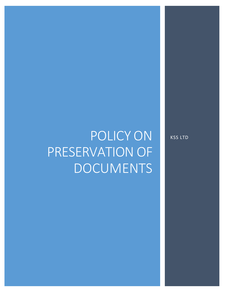# POLICY ON PRESERVATION OF DOCUMENTS

KSS LTD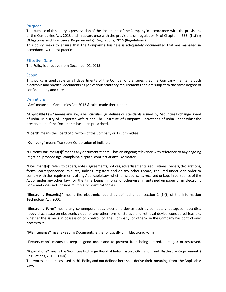#### **Purpose**

The purpose of this policy is preservation of the documents of the Company in accordance with the provisions of the Companies Act, 2013 and in accordance with the provisions of regulation 9 of Chapter III SEBI (Listing Obligations and Disclosure Requirements) Regulations, 2015 (Regulations).

This policy seeks to ensure that the Company's business is adequately documented that are managed in accordance with best practice.

#### **Effective Date**

The Policy is effective from December 01, 2015.

#### Scope

This policy is applicable to all departments of the Company. It ensures that the Company maintains both electronic and physical documents as per various statutory requirements and are subject to the same degree of confidentiality and care.

#### **Definitions**

"Act" means the Companies Act, 2013 & rules made thereunder.

**"Applicable Law"** means any law, rules, circulars, guidelines or standards issued by Securities Exchange Board of India, Ministry of Corporate Affairs and The Institute of Company Secretaries of India under whichthe preservation of the Documents has been prescribed.

**"Board"** means the Board of directors of the Company or its Committee.

**"Company"** means Transport Corporation of India Ltd.

**"Current Document(s)"** means any document that still has an ongoing relevance with reference to any ongoing litigation, proceedings, complaint, dispute, contract or any like matter.

**"Document(s)"** refersto papers, notes, agreements, notices, advertisements, requisitions, orders, declarations, forms, correspondence, minutes, indices, registers and or any other record, required under orin order to comply with the requirements of any Applicable Law, whether issued, sent, received or kept in pursuance of the Act or under any other law for the time being in force or otherwise, maintained on paper or in Electronic Form and does not include multiple or identical copies.

**"Electronic Record(s)"** means the electronic record as defined under section 2 (1)(t) of the Information Technology Act, 2000.

**"Electronic Form"** means any contemporaneous electronic device such as computer, laptop, compact disc, floppy disc, space on electronic cloud, or any other form of storage and retrieval device, considered feasible, whether the same is in possession or control of the Company or otherwise the Company has control over accessto it.

**"Maintenance"** means keeping Documents, either physically orin Electronic Form.

**"Preservation"** means to keep in good order and to prevent from being altered, damaged or destroyed.

**"Regulations"** means the Securities Exchange Board of India (Listing Obligation and Disclosure Requirements) Regulations, 2015 (LODR).

The words and phrases used in this Policy and not defined here shall derive their meaning from the Applicable Law.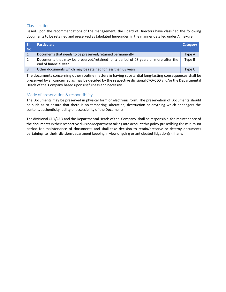## **Classification**

Based upon the recommendations of the management, the Board of Directors have classified the following documents to be retained and preserved as tabulated hereunder, in the manner detailed under Annexure I:

| SI.<br>No. | <b>Particulars</b>                                                                                           | Category |
|------------|--------------------------------------------------------------------------------------------------------------|----------|
|            | Documents that needs to be preserved/retained permanently                                                    | Type A   |
| 2          | Documents that may be preserved/retained for a period of 08 years or more after the<br>end of financial year | Type B   |
|            | Other documents which may be retained for less than 08 years                                                 | Type C   |

The documents concerning other routine matters & having substantial long-lasting consequences shall be preserved by all concerned as may be decided by the respective divisional CFO/CEO and/orthe Departmental Heads of the Company based upon usefulness and necessity.

## Mode of preservation & responsibility

The Documents may be preserved in physical form or electronic form. The preservation of Documents should be such as to ensure that there is no tampering, alteration, destruction or anything which endangers the content, authenticity, utility or accessibility of the Documents.

The divisional CFO/CEO and the Departmental Heads of the Company shall be responsible for maintenance of the documents in their respective division/department taking into account this policy prescribing the minimum period for maintenance of documents and shall take decision to retain/preserve or destroy documents pertaining to their division/department keeping in view ongoing or anticipated litigation(s), if any.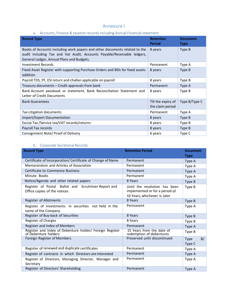# Annexure I

## a. Accounts, Finance & taxation records including Annual Financial statement

| <b>Record Type</b>                                                                                                                                                                                 | <b>Retention</b><br><b>Period</b>      | <b>Document</b><br>Type |
|----------------------------------------------------------------------------------------------------------------------------------------------------------------------------------------------------|----------------------------------------|-------------------------|
| Books of Accounts including work papers and other documents related to the<br>audit including Tax and Vat Audit, Accounts Payable/Receivable ledgers,<br>General Ledger, Annual Plans and Budgets, | 8 years                                | Type B                  |
| <b>Investment Records</b>                                                                                                                                                                          | Permanent                              | Type A                  |
| Fixed Asset Register with supporting Purchase Orders and Bills for fixed assets<br>addition                                                                                                        | 8 years                                | Type B                  |
| Payroll TDS, PF, ESI return and challan applicable on payroll                                                                                                                                      | 8 years                                | Type B                  |
| Treasury documents - Credit approvals from bank                                                                                                                                                    | Permanent                              | Type A                  |
| Bank Account passbook or statement, Bank Reconciliation Statement and<br>Letter of Credit Documents                                                                                                | 8 years                                | Type B                  |
| <b>Bank Guarantees</b>                                                                                                                                                                             | Till the expiry of<br>the claim period | Type B/Type C           |
| <b>Tax Litigation documents</b>                                                                                                                                                                    | Permanent                              | Type A                  |
| Import/Export Documentation                                                                                                                                                                        | 8 years                                | Type B                  |
| Excise Tax / Service tax/VAT records/returns                                                                                                                                                       | 8 years                                | Type B                  |
| Payroll Tax records                                                                                                                                                                                | 8 years                                | Type B                  |
| Consignment Note/ Proof of Delivery                                                                                                                                                                | 6 years                                | Type C                  |

## b. Corporate Secretarial Records

| <b>Record Type</b>                                                                   | <b>Retention Period</b>                                                                         | <b>Document</b><br><b>Type</b> |
|--------------------------------------------------------------------------------------|-------------------------------------------------------------------------------------------------|--------------------------------|
| Certificate of Incorporation/ Certificate of Change of Name                          | Permanent                                                                                       | Type A                         |
| Memorandum and Articles of Association                                               | Permanent                                                                                       | Type A                         |
| Certificate to Commence Business                                                     | Permanent                                                                                       | Type A                         |
| Minute Books                                                                         | Permanent                                                                                       | Type A                         |
| Notice/Agenda and other related papers                                               | 8 Years                                                                                         | Type B                         |
| Register of Postal Ballot and Scrutinizer Report and<br>Office copies of the notices | Until the resolution has been<br>implemented or for a period of<br>10 Years, whichever is later | Type B                         |
| <b>Register of Allotments</b>                                                        | 8 Years                                                                                         | Type B                         |
| Register of Investments in securities not held in the<br>name of the Company         | Permanent                                                                                       | Type A                         |
| Register of Buy-back of Securities                                                   | 8 Years                                                                                         | Type B                         |
| Register of Charges                                                                  | 8 Years                                                                                         | Type B                         |
| Register and Index of Members                                                        | Permanent                                                                                       | Type A                         |
| Register and Index of Debenture holder/ Foreign Register<br>of Debenture holders     | 15 Years from the date of<br>redemption of debentures                                           | Type B                         |
| Foreign Register of Members                                                          | Preserved until discontinued                                                                    | B/<br>Type<br>Type C           |
| Register of renewed and duplicate certificates                                       | Permanent                                                                                       | Type A                         |
| Register of contracts in which Directors are interested                              | Permanent                                                                                       | Type A                         |
| Register of Directors, Managing Director, Manager and<br>Secretary                   | Permanent                                                                                       | Type A                         |
| Register of Directors' Shareholding                                                  | Permanent                                                                                       | Type A                         |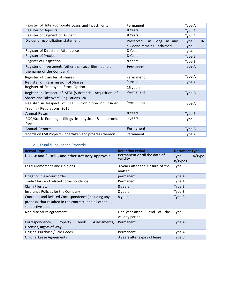| Register of Inter-Corporate Loans and investments                                                  | Permanent                                                    | Type A               |
|----------------------------------------------------------------------------------------------------|--------------------------------------------------------------|----------------------|
| Register of Deposits                                                                               | 8 Years                                                      | Type B               |
| Register of payment of Dividend                                                                    | 8 Years                                                      | Type B               |
| Dividend reconciliation statement                                                                  | Preserved<br>long as any<br>as<br>dividend remains unclaimed | B/<br>Type<br>Type C |
| Register of Directors' Attendance                                                                  | 8 Years                                                      | Type B               |
| Register of Proxies                                                                                | 8 Years                                                      | Type B               |
| Register of linspection                                                                            | 8 Years                                                      | Type B               |
| Register of Investments (other than securities not held in<br>the name of the Company)             | Permanent                                                    | Type A               |
| Register of transfer of shares                                                                     | Permanent                                                    | Type A               |
| Register of Transmission of Shares                                                                 | Permanent                                                    | Type A               |
| Register of Employees Stock Option                                                                 | 15 years                                                     |                      |
| Register in Respect of SEBI (Substantial Acquisition of<br>Shares and Takeovers) Regulations, 2011 | Permanent                                                    | Type A               |
| Register in Respect of SEBI (Prohibition of Insider<br>Trading) Regulations, 2015                  | Permanent                                                    | Type A               |
| Annual Return                                                                                      | 8 Years                                                      | Type B               |
| ROC/Stock Exchange filings in physical & electronic<br>form                                        | 5 years                                                      | Type C               |
| <b>Annual Reports</b>                                                                              | Permanent                                                    | Type A               |
| Records on CSR Projects undertaken and progress thereon                                            | Permanent                                                    | Type A               |

# c. Legal& Insurance Records

| <b>Record Type</b>                                                                                                                   | <b>Retention Period</b>                         | <b>Document Type</b>              |
|--------------------------------------------------------------------------------------------------------------------------------------|-------------------------------------------------|-----------------------------------|
| License and Permits, and other statutory approvals                                                                                   | Permanent or till the date of<br>validity       | A/Type<br><b>Type</b><br>B/Type C |
| Legal Memoranda and Opinions                                                                                                         | 3 years after the closure of the<br>matter      | Type C                            |
| Litigation files/court orders                                                                                                        | permanent                                       | Type A                            |
| Trade Mark and related correspondence                                                                                                | Permanent                                       | Type A                            |
| Claim Files etc.                                                                                                                     | 8 years                                         | Type B                            |
| Insurance Policies for the Company                                                                                                   | 8 years                                         | Type B                            |
| Contracts and Related Correspondence (including any<br>proposal that resulted in the contract) and all other<br>supportive documents | 8 years                                         | Type B                            |
| Non-disclosure agreement                                                                                                             | One year after<br>end of the<br>validity period | Type C                            |
| Correspondence,<br>Deeds,<br>Property<br>Assessments,<br>Licenses, Rights of Way                                                     | Permanent                                       | Type A                            |
| Original Purchase / Sale Deeds                                                                                                       | Permanent                                       | Type A                            |
| Original Lease Agreements                                                                                                            | 3 years after expiry of lease                   | Type C                            |